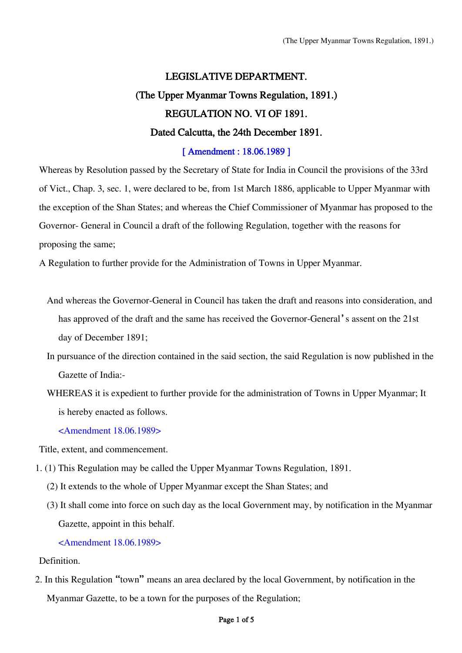# LEGISLATIVE DEPARTMENT. (The Upper Myanmar Towns Regulation, 1891.) REGULATION NO. VI OF 1891. Dated Calcutta, the 24th December 1891.

## [ Amendment : 18.06.1989 ]

Whereas by Resolution passed by the Secretary of State for India in Council the provisions of the 33rd of Vict., Chap. 3, sec. 1, were declared to be, from 1st March 1886, applicable to Upper Myanmar with the exception of the Shan States; and whereas the Chief Commissioner of Myanmar has proposed to the Governor- General in Council a draft of the following Regulation, together with the reasons for proposing the same;

A Regulation to further provide for the Administration of Towns in Upper Myanmar.

- And whereas the Governor-General in Council has taken the draft and reasons into consideration, and has approved of the draft and the same has received the Governor-General's assent on the 21st day of December 1891;
- In pursuance of the direction contained in the said section, the said Regulation is now published in the Gazette of India:-
- WHEREAS it is expedient to further provide for the administration of Towns in Upper Myanmar; It is hereby enacted as follows.

<Amendment 18.06.1989>

Title, extent, and commencement.

- 1. (1) This Regulation may be called the Upper Myanmar Towns Regulation, 1891.
	- (2) It extends to the whole of Upper Myanmar except the Shan States; and
	- (3) It shall come into force on such day as the local Government may, by notification in the Myanmar Gazette, appoint in this behalf.

### <Amendment 18.06.1989>

Definition.

2. In this Regulation "town" means an area declared by the local Government, by notification in the Myanmar Gazette, to be a town for the purposes of the Regulation;

#### Page 1 of 5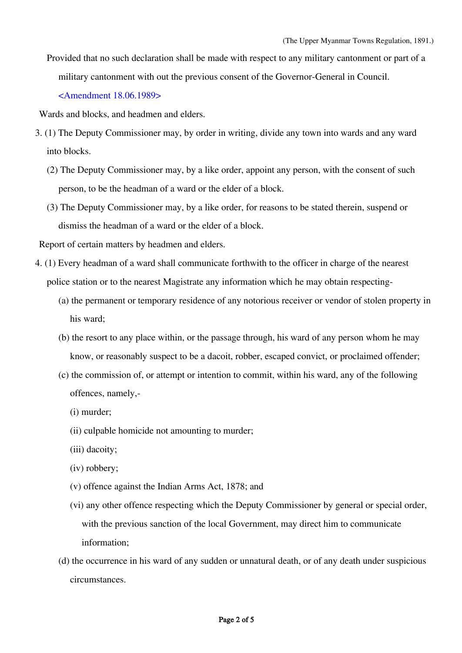Provided that no such declaration shall be made with respect to any military cantonment or part of a military cantonment with out the previous consent of the Governor-General in Council.

<Amendment 18.06.1989>

Wards and blocks, and headmen and elders.

- 3. (1) The Deputy Commissioner may, by order in writing, divide any town into wards and any ward into blocks.
	- (2) The Deputy Commissioner may, by a like order, appoint any person, with the consent of such person, to be the headman of a ward or the elder of a block.
	- (3) The Deputy Commissioner may, by a like order, for reasons to be stated therein, suspend or dismiss the headman of a ward or the elder of a block.

Report of certain matters by headmen and elders.

- 4. (1) Every headman of a ward shall communicate forthwith to the officer in charge of the nearest police station or to the nearest Magistrate any information which he may obtain respecting-
	- (a) the permanent or temporary residence of any notorious receiver or vendor of stolen property in his ward;
	- (b) the resort to any place within, or the passage through, his ward of any person whom he may know, or reasonably suspect to be a dacoit, robber, escaped convict, or proclaimed offender;
	- (c) the commission of, or attempt or intention to commit, within his ward, any of the following offences, namely,-
		- (i) murder;
		- (ii) culpable homicide not amounting to murder;
		- (iii) dacoity;
		- (iv) robbery;
		- (v) offence against the Indian Arms Act, 1878; and
		- (vi) any other offence respecting which the Deputy Commissioner by general or special order, with the previous sanction of the local Government, may direct him to communicate information;
	- (d) the occurrence in his ward of any sudden or unnatural death, or of any death under suspicious circumstances.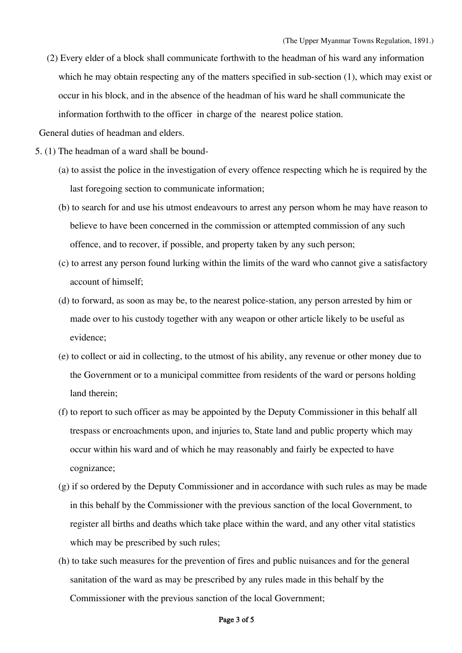(2) Every elder of a block shall communicate forthwith to the headman of his ward any information which he may obtain respecting any of the matters specified in sub-section (1), which may exist or occur in his block, and in the absence of the headman of his ward he shall communicate the information forthwith to the officer in charge of the nearest police station.

General duties of headman and elders.

- 5. (1) The headman of a ward shall be bound-
	- (a) to assist the police in the investigation of every offence respecting which he is required by the last foregoing section to communicate information;
	- (b) to search for and use his utmost endeavours to arrest any person whom he may have reason to believe to have been concerned in the commission or attempted commission of any such offence, and to recover, if possible, and property taken by any such person;
	- (c) to arrest any person found lurking within the limits of the ward who cannot give a satisfactory account of himself;
	- (d) to forward, as soon as may be, to the nearest police-station, any person arrested by him or made over to his custody together with any weapon or other article likely to be useful as evidence;
	- (e) to collect or aid in collecting, to the utmost of his ability, any revenue or other money due to the Government or to a municipal committee from residents of the ward or persons holding land therein;
	- (f) to report to such officer as may be appointed by the Deputy Commissioner in this behalf all trespass or encroachments upon, and injuries to, State land and public property which may occur within his ward and of which he may reasonably and fairly be expected to have cognizance;
	- (g) if so ordered by the Deputy Commissioner and in accordance with such rules as may be made in this behalf by the Commissioner with the previous sanction of the local Government, to register all births and deaths which take place within the ward, and any other vital statistics which may be prescribed by such rules;
	- (h) to take such measures for the prevention of fires and public nuisances and for the general sanitation of the ward as may be prescribed by any rules made in this behalf by the Commissioner with the previous sanction of the local Government;

### Page 3 of 5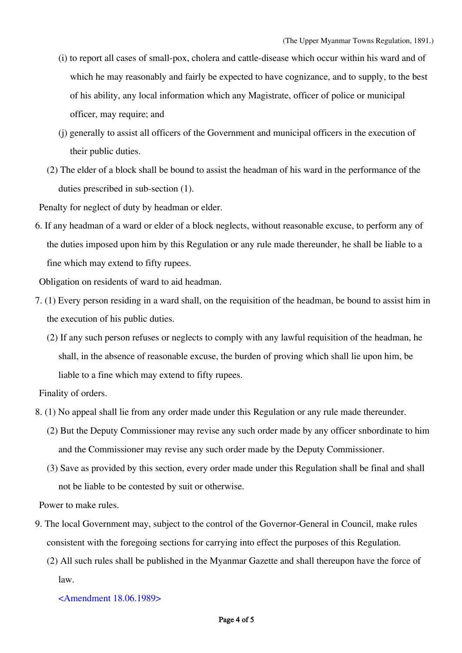- (i) to report all cases of small-pox, cholera and cattle-disease which occur within his ward and of which he may reasonably and fairly be expected to have cognizance, and to supply, to the best of his ability, any local information which any Magistrate, officer of police or municipal officer, may require; and
- (j) generally to assist all officers of the Government and municipal officers in the execution of their public duties.
- (2) The elder of a block shall be bound to assist the headman of his ward in the performance of the duties prescribed in sub-section (1).

Penalty for neglect of duty by headman or elder.

6. If any headman of a ward or elder of a block neglects, without reasonable excuse, to perform any of the duties imposed upon him by this Regulation or any rule made thereunder, he shall be liable to a fine which may extend to fifty rupees.

Obligation on residents of ward to aid headman.

- 7. (1) Every person residing in a ward shall, on the requisition of the headman, be bound to assist him in the execution of his public duties.
	- (2) If any such person refuses or neglects to comply with any lawful requisition of the headman, he shall, in the absence of reasonable excuse, the burden of proving which shall lie upon him, be liable to a fine which may extend to fifty rupees.

Finality of orders.

- 8. (1) No appeal shall lie from any order made under this Regulation or any rule made thereunder.
	- (2) But the Deputy Commissioner may revise any such order made by any officer snbordinate to him and the Commissioner may revise any such order made by the Deputy Commissioner.
	- (3) Save as provided by this section, every order made under this Regulation shall be final and shall not be liable to be contested by suit or otherwise.

Power to make rules.

- 9. The local Government may, subject to the control of the Governor-General in Council, make rules consistent with the foregoing sections for carrying into effect the purposes of this Regulation.
	- (2) All such rules shall be published in the Myanmar Gazette and shall thereupon have the force of law.

<Amendment 18.06.1989>